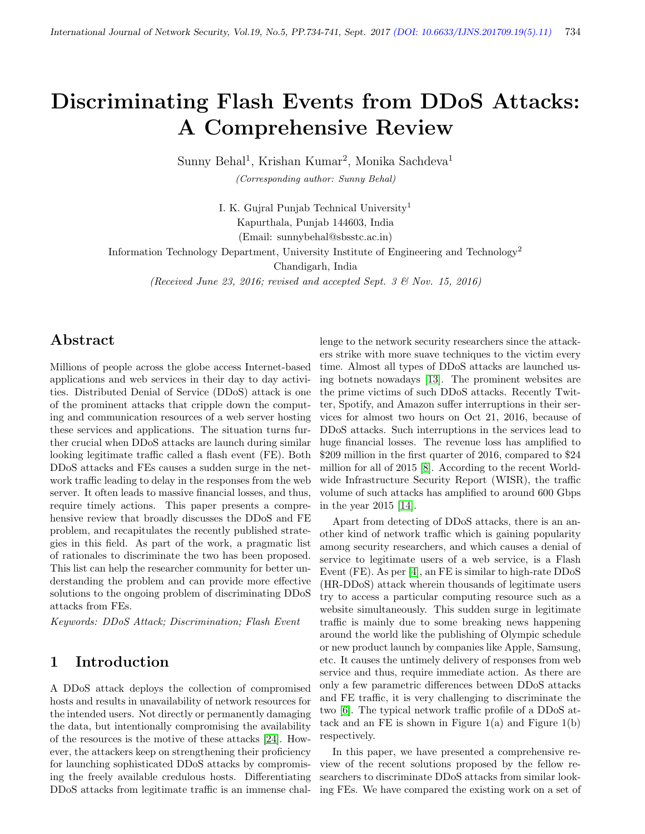# Discriminating Flash Events from DDoS Attacks: A Comprehensive Review

Sunny Behal<sup>1</sup>, Krishan Kumar<sup>2</sup>, Monika Sachdeva<sup>1</sup>

(Corresponding author: Sunny Behal)

I. K. Gujral Punjab Technical University<sup>1</sup> Kapurthala, Punjab 144603, India

(Email: sunnybehal@sbsstc.ac.in)

Information Technology Department, University Institute of Engineering and Technology<sup>2</sup>

Chandigarh, India

(Received June 23, 2016; revised and accepted Sept. 3  $\mathcal{B}$  Nov. 15, 2016)

### Abstract

Millions of people across the globe access Internet-based applications and web services in their day to day activities. Distributed Denial of Service (DDoS) attack is one of the prominent attacks that cripple down the computing and communication resources of a web server hosting these services and applications. The situation turns further crucial when DDoS attacks are launch during similar looking legitimate traffic called a flash event (FE). Both DDoS attacks and FEs causes a sudden surge in the network traffic leading to delay in the responses from the web server. It often leads to massive financial losses, and thus, require timely actions. This paper presents a comprehensive review that broadly discusses the DDoS and FE problem, and recapitulates the recently published strategies in this field. As part of the work, a pragmatic list of rationales to discriminate the two has been proposed. This list can help the researcher community for better understanding the problem and can provide more effective solutions to the ongoing problem of discriminating DDoS attacks from FEs.

Keywords: DDoS Attack; Discrimination; Flash Event

## 1 Introduction

A DDoS attack deploys the collection of compromised hosts and results in unavailability of network resources for the intended users. Not directly or permanently damaging the data, but intentionally compromising the availability of the resources is the motive of these attacks [\[24\]](#page-7-0). However, the attackers keep on strengthening their proficiency for launching sophisticated DDoS attacks by compromising the freely available credulous hosts. Differentiating DDoS attacks from legitimate traffic is an immense challenge to the network security researchers since the attackers strike with more suave techniques to the victim every time. Almost all types of DDoS attacks are launched using botnets nowadays [\[13\]](#page-6-0). The prominent websites are the prime victims of such DDoS attacks. Recently Twitter, Spotify, and Amazon suffer interruptions in their services for almost two hours on Oct 21, 2016, because of DDoS attacks. Such interruptions in the services lead to huge financial losses. The revenue loss has amplified to \$209 million in the first quarter of 2016, compared to \$24 million for all of 2015 [\[8\]](#page-6-1). According to the recent Worldwide Infrastructure Security Report (WISR), the traffic volume of such attacks has amplified to around 600 Gbps in the year 2015 [\[14\]](#page-6-2).

Apart from detecting of DDoS attacks, there is an another kind of network traffic which is gaining popularity among security researchers, and which causes a denial of service to legitimate users of a web service, is a Flash Event (FE). As per [\[4\]](#page-6-3), an FE is similar to high-rate DDoS (HR-DDoS) attack wherein thousands of legitimate users try to access a particular computing resource such as a website simultaneously. This sudden surge in legitimate traffic is mainly due to some breaking news happening around the world like the publishing of Olympic schedule or new product launch by companies like Apple, Samsung, etc. It causes the untimely delivery of responses from web service and thus, require immediate action. As there are only a few parametric differences between DDoS attacks and FE traffic, it is very challenging to discriminate the two [\[6\]](#page-6-4). The typical network traffic profile of a DDoS attack and an FE is shown in Figure  $1(a)$  and Figure  $1(b)$ respectively.

In this paper, we have presented a comprehensive review of the recent solutions proposed by the fellow researchers to discriminate DDoS attacks from similar looking FEs. We have compared the existing work on a set of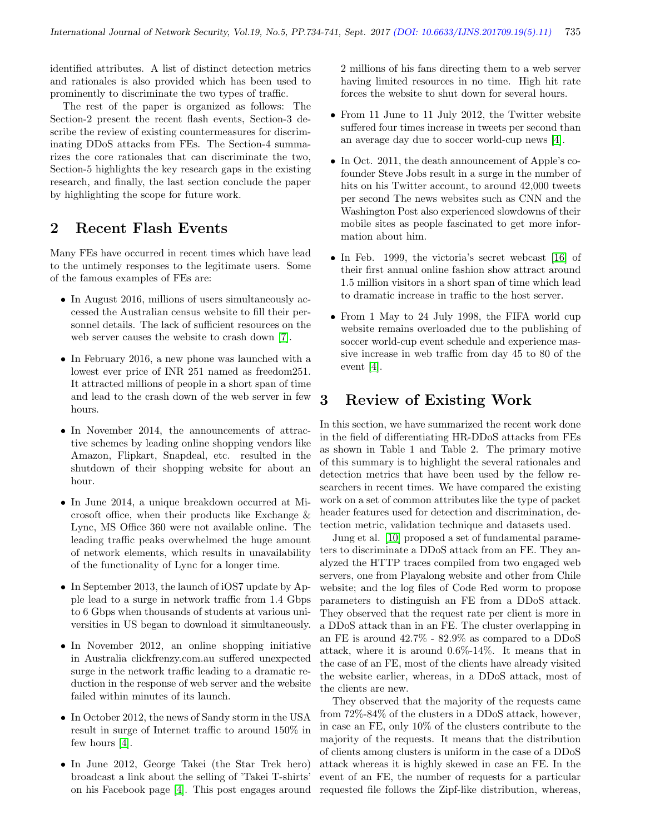identified attributes. A list of distinct detection metrics and rationales is also provided which has been used to prominently to discriminate the two types of traffic.

The rest of the paper is organized as follows: The Section-2 present the recent flash events, Section-3 describe the review of existing countermeasures for discriminating DDoS attacks from FEs. The Section-4 summarizes the core rationales that can discriminate the two, Section-5 highlights the key research gaps in the existing research, and finally, the last section conclude the paper by highlighting the scope for future work.

## 2 Recent Flash Events

Many FEs have occurred in recent times which have lead to the untimely responses to the legitimate users. Some of the famous examples of FEs are:

- In August 2016, millions of users simultaneously accessed the Australian census website to fill their personnel details. The lack of sufficient resources on the web server causes the website to crash down [\[7\]](#page-6-5).
- In February 2016, a new phone was launched with a lowest ever price of INR 251 named as freedom251. It attracted millions of people in a short span of time and lead to the crash down of the web server in few hours.
- In November 2014, the announcements of attractive schemes by leading online shopping vendors like Amazon, Flipkart, Snapdeal, etc. resulted in the shutdown of their shopping website for about an hour.
- In June 2014, a unique breakdown occurred at Microsoft office, when their products like Exchange & Lync, MS Office 360 were not available online. The leading traffic peaks overwhelmed the huge amount of network elements, which results in unavailability of the functionality of Lync for a longer time.
- In September 2013, the launch of iOS7 update by Apple lead to a surge in network traffic from 1.4 Gbps to 6 Gbps when thousands of students at various universities in US began to download it simultaneously.
- In November 2012, an online shopping initiative in Australia clickfrenzy.com.au suffered unexpected surge in the network traffic leading to a dramatic reduction in the response of web server and the website failed within minutes of its launch.
- In October 2012, the news of Sandy storm in the USA result in surge of Internet traffic to around 150% in few hours [\[4\]](#page-6-3).
- In June 2012, George Takei (the Star Trek hero) broadcast a link about the selling of 'Takei T-shirts' on his Facebook page [\[4\]](#page-6-3). This post engages around

2 millions of his fans directing them to a web server having limited resources in no time. High hit rate forces the website to shut down for several hours.

- From 11 June to 11 July 2012, the Twitter website suffered four times increase in tweets per second than an average day due to soccer world-cup news [\[4\]](#page-6-3).
- In Oct. 2011, the death announcement of Apple's cofounder Steve Jobs result in a surge in the number of hits on his Twitter account, to around 42,000 tweets per second The news websites such as CNN and the Washington Post also experienced slowdowns of their mobile sites as people fascinated to get more information about him.
- In Feb. 1999, the victoria's secret webcast [\[16\]](#page-7-1) of their first annual online fashion show attract around 1.5 million visitors in a short span of time which lead to dramatic increase in traffic to the host server.
- From 1 May to 24 July 1998, the FIFA world cup website remains overloaded due to the publishing of soccer world-cup event schedule and experience massive increase in web traffic from day 45 to 80 of the event [\[4\]](#page-6-3).

## 3 Review of Existing Work

In this section, we have summarized the recent work done in the field of differentiating HR-DDoS attacks from FEs as shown in Table 1 and Table 2. The primary motive of this summary is to highlight the several rationales and detection metrics that have been used by the fellow researchers in recent times. We have compared the existing work on a set of common attributes like the type of packet header features used for detection and discrimination, detection metric, validation technique and datasets used.

Jung et al. [\[10\]](#page-6-6) proposed a set of fundamental parameters to discriminate a DDoS attack from an FE. They analyzed the HTTP traces compiled from two engaged web servers, one from Playalong website and other from Chile website; and the log files of Code Red worm to propose parameters to distinguish an FE from a DDoS attack. They observed that the request rate per client is more in a DDoS attack than in an FE. The cluster overlapping in an FE is around 42.7% - 82.9% as compared to a DDoS attack, where it is around 0.6%-14%. It means that in the case of an FE, most of the clients have already visited the website earlier, whereas, in a DDoS attack, most of the clients are new.

They observed that the majority of the requests came from 72%-84% of the clusters in a DDoS attack, however, in case an FE, only 10% of the clusters contribute to the majority of the requests. It means that the distribution of clients among clusters is uniform in the case of a DDoS attack whereas it is highly skewed in case an FE. In the event of an FE, the number of requests for a particular requested file follows the Zipf-like distribution, whereas,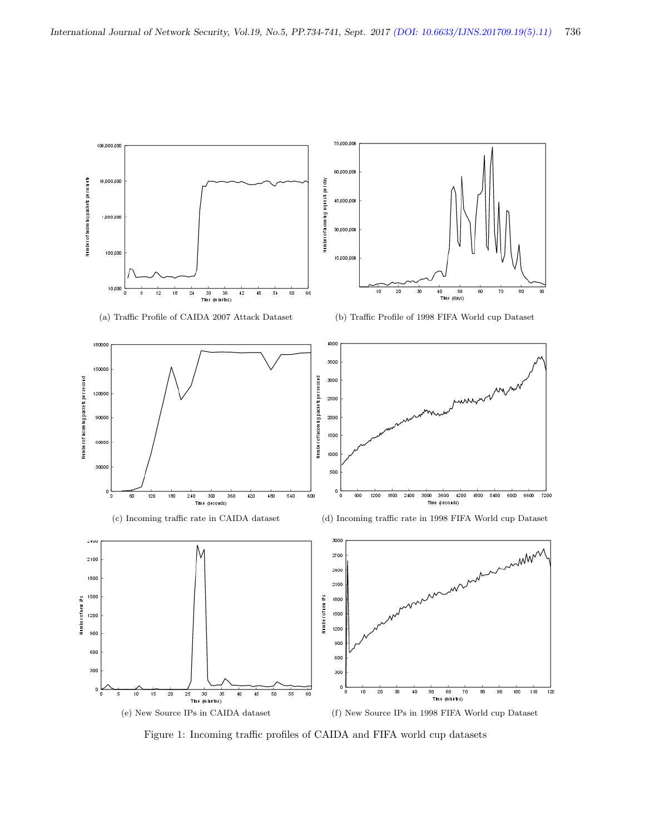

Figure 1: Incoming traffic profiles of CAIDA and FIFA world cup datasets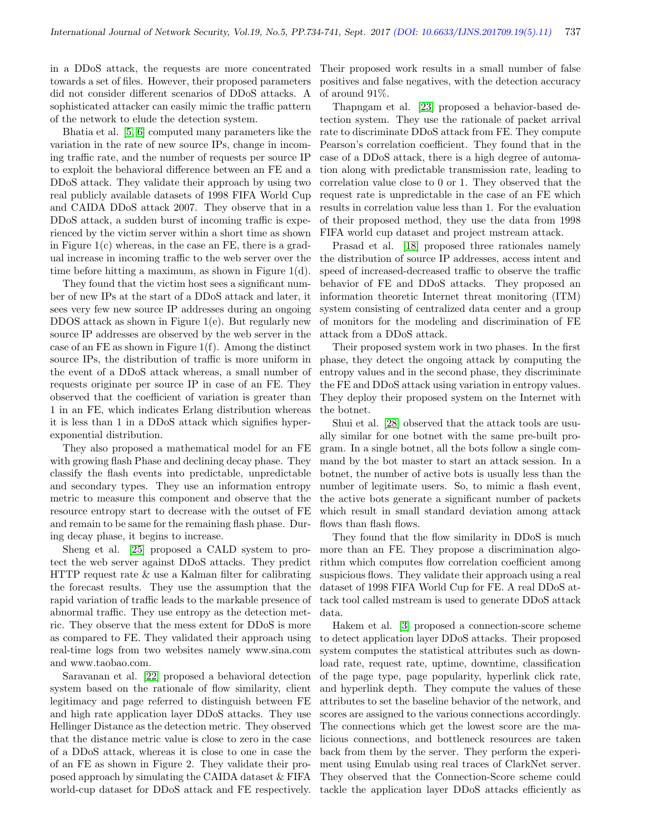in a DDoS attack, the requests are more concentrated towards a set of files. However, their proposed parameters did not consider different scenarios of DDoS attacks. A sophisticated attacker can easily mimic the traffic pattern of the network to elude the detection system.

Bhatia et al. [\[5,](#page-6-7) [6\]](#page-6-4) computed many parameters like the variation in the rate of new source IPs, change in incoming traffic rate, and the number of requests per source IP to exploit the behavioral difference between an FE and a DDoS attack. They validate their approach by using two real publicly available datasets of 1998 FIFA World Cup and CAIDA DDoS attack 2007. They observe that in a DDoS attack, a sudden burst of incoming traffic is experienced by the victim server within a short time as shown in Figure 1(c) whereas, in the case an FE, there is a gradual increase in incoming traffic to the web server over the time before hitting a maximum, as shown in Figure 1(d).

They found that the victim host sees a significant number of new IPs at the start of a DDoS attack and later, it sees very few new source IP addresses during an ongoing DDOS attack as shown in Figure 1(e). But regularly new source IP addresses are observed by the web server in the case of an FE as shown in Figure  $1(f)$ . Among the distinct source IPs, the distribution of traffic is more uniform in the event of a DDoS attack whereas, a small number of requests originate per source IP in case of an FE. They observed that the coefficient of variation is greater than 1 in an FE, which indicates Erlang distribution whereas it is less than 1 in a DDoS attack which signifies hyperexponential distribution.

They also proposed a mathematical model for an FE with growing flash Phase and declining decay phase. They classify the flash events into predictable, unpredictable and secondary types. They use an information entropy metric to measure this component and observe that the resource entropy start to decrease with the outset of FE and remain to be same for the remaining flash phase. During decay phase, it begins to increase.

Sheng et al. [\[25\]](#page-7-2) proposed a CALD system to protect the web server against DDoS attacks. They predict HTTP request rate & use a Kalman filter for calibrating the forecast results. They use the assumption that the rapid variation of traffic leads to the markable presence of abnormal traffic. They use entropy as the detection metric. They observe that the mess extent for DDoS is more as compared to FE. They validated their approach using real-time logs from two websites namely www.sina.com and www.taobao.com.

Saravanan et al. [\[22\]](#page-7-3) proposed a behavioral detection system based on the rationale of flow similarity, client legitimacy and page referred to distinguish between FE and high rate application layer DDoS attacks. They use Hellinger Distance as the detection metric. They observed that the distance metric value is close to zero in the case of a DDoS attack, whereas it is close to one in case the of an FE as shown in Figure 2. They validate their proposed approach by simulating the CAIDA dataset & FIFA world-cup dataset for DDoS attack and FE respectively.

Their proposed work results in a small number of false positives and false negatives, with the detection accuracy of around 91%.

Thapngam et al. [\[23\]](#page-7-4) proposed a behavior-based detection system. They use the rationale of packet arrival rate to discriminate DDoS attack from FE. They compute Pearson's correlation coefficient. They found that in the case of a DDoS attack, there is a high degree of automation along with predictable transmission rate, leading to correlation value close to 0 or 1. They observed that the request rate is unpredictable in the case of an FE which results in correlation value less than 1. For the evaluation of their proposed method, they use the data from 1998 FIFA world cup dataset and project mstream attack.

Prasad et al. [\[18\]](#page-7-5) proposed three rationales namely the distribution of source IP addresses, access intent and speed of increased-decreased traffic to observe the traffic behavior of FE and DDoS attacks. They proposed an information theoretic Internet threat monitoring (ITM) system consisting of centralized data center and a group of monitors for the modeling and discrimination of FE attack from a DDoS attack.

Their proposed system work in two phases. In the first phase, they detect the ongoing attack by computing the entropy values and in the second phase, they discriminate the FE and DDoS attack using variation in entropy values. They deploy their proposed system on the Internet with the botnet.

Shui et al. [\[28\]](#page-7-6) observed that the attack tools are usually similar for one botnet with the same pre-built program. In a single botnet, all the bots follow a single command by the bot master to start an attack session. In a botnet, the number of active bots is usually less than the number of legitimate users. So, to mimic a flash event, the active bots generate a significant number of packets which result in small standard deviation among attack flows than flash flows.

They found that the flow similarity in DDoS is much more than an FE. They propose a discrimination algorithm which computes flow correlation coefficient among suspicious flows. They validate their approach using a real dataset of 1998 FIFA World Cup for FE. A real DDoS attack tool called mstream is used to generate DDoS attack data.

Hakem et al. [\[3\]](#page-6-8) proposed a connection-score scheme to detect application layer DDoS attacks. Their proposed system computes the statistical attributes such as download rate, request rate, uptime, downtime, classification of the page type, page popularity, hyperlink click rate, and hyperlink depth. They compute the values of these attributes to set the baseline behavior of the network, and scores are assigned to the various connections accordingly. The connections which get the lowest score are the malicious connections, and bottleneck resources are taken back from them by the server. They perform the experiment using Emulab using real traces of ClarkNet server. They observed that the Connection-Score scheme could tackle the application layer DDoS attacks efficiently as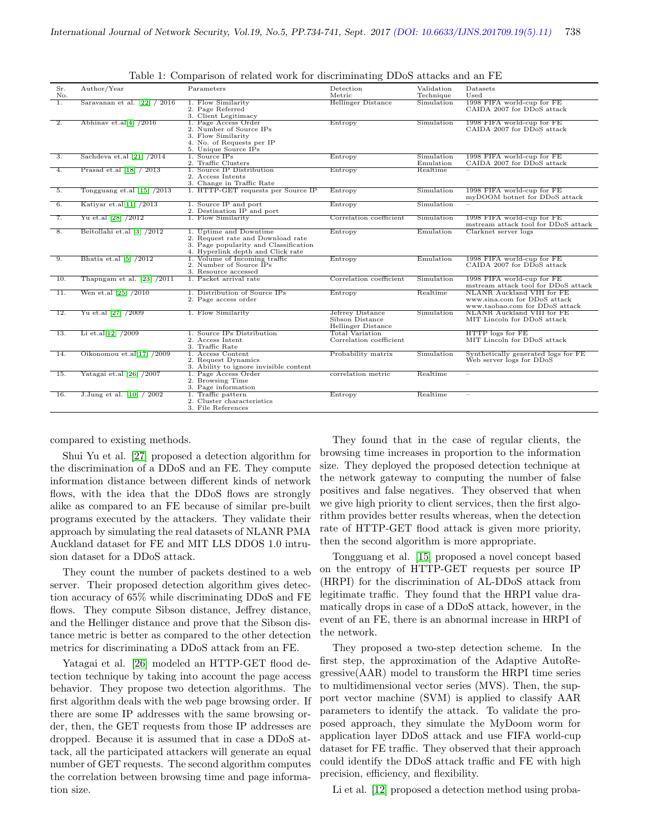|                   |                                     |                                                                                                                                           | ີ                                                         |                         |                                                                                              |
|-------------------|-------------------------------------|-------------------------------------------------------------------------------------------------------------------------------------------|-----------------------------------------------------------|-------------------------|----------------------------------------------------------------------------------------------|
| Sr.<br>No.        | Author/Year                         | Parameters                                                                                                                                | Detection<br>Metric                                       | Validation<br>Technique | Datasets<br>Used                                                                             |
| 1.                | Saravanan et al. $[22] / 2016$      | 1. Flow Similarity<br>2. Page Referred<br>3. Client Legitimacy                                                                            | <b>Hellinger Distance</b>                                 | Simulation              | 1998 FIFA world-cup for FE<br>CAIDA 2007 for DDoS attack                                     |
| $\overline{2}$ .  | Abhinav et.al[4] $/2016$            | 1. Page Access Order<br>2. Number of Source IPs<br>3. Flow Similarity<br>4. No. of Requests per IP<br>5. Unique Source IPs                | Entropy                                                   | Simulation              | 1998 FIFA world-cup for FE<br>CAIDA 2007 for DDoS attack                                     |
| $\overline{3}$ .  | Sachdeva et.al [21] /2014           | 1. Source IPs<br>2. Traffic Clusters                                                                                                      | Entropy                                                   | Simulation<br>Emulation | 1998 FIFA world-cup for FE<br>CAIDA 2007 for DDoS attack                                     |
| 4.                | Prasad et.al [18] / 2013            | 1. Source IP Distribution<br>2. Access Intents<br>3. Change in Traffic Rate                                                               | Entropy                                                   | Realtime                |                                                                                              |
| 5.                | Tongguang et.al $[15]$ /2013        | 1. HTTP-GET requests per Source IP                                                                                                        | Entropy                                                   | Simulation              | 1998 FIFA world-cup for FE<br>myDOOM botnet for DDoS attack                                  |
| 6.                | Katiyar et.al[11] $/2013$           | 1. Source IP and port<br>2. Destination IP and port                                                                                       | Entropy                                                   | Simulation              |                                                                                              |
| 7.                | Yu et.al [28] /2012                 | 1. Flow Similarity                                                                                                                        | Correlation coefficient                                   | Simulation              | 1998 FIFA world-cup for FE<br>mstream attack tool for DDoS attack                            |
| 8.                | Beitollahi et.al [3] /2012          | 1. Uptime and Downtime<br>2. Request rate and Download rate<br>3. Page popularity and Classification<br>4. Hyperlink depth and Click rate | Entropy                                                   | Emulation               | Clarknet server logs                                                                         |
| 9.                | Bhatia et.al $\left[5\right]$ /2012 | 1. Volume of Incoming traffic<br>2. Number of Source IPs<br>3. Resource accessed                                                          | Entropy                                                   | Emulation               | 1998 FIFA world-cup for FE<br>CAIDA 2007 for DDoS attack                                     |
| 10.               | Thapngam et al. $[23]$ /2011        | 1. Packet arrival rate                                                                                                                    | Correlation coefficient                                   | Simulation              | 1998 FIFA world-cup for FE<br>mstream attack tool for DDoS attack                            |
| $\overline{11}$ . | Wen et.al $[25]$ /2010              | 1. Distribution of Source IPs<br>2. Page access order                                                                                     | Entropy                                                   | Realtime                | NLANR Auckland VIII for FE<br>www.sina.com for DDoS attack<br>www.taobao.com for DDoS attack |
| 12.               | Yu et.al [27] /2009                 | 1. Flow Similarity                                                                                                                        | Jefrrey Distance<br>Sibson Distance<br>Hellinger Distance | Simulation              | NLANR Auckland VIII for FE<br>MIT Lincoln for DDoS attack                                    |
| $\overline{13}$ . | Li et.al[12] $/2009$                | 1. Source IPs Distribution<br>2. Access Intent<br>3. Traffic Rate                                                                         | <b>Total Variation</b><br>Correlation coefficient         |                         | HTTP logs for FE<br>MIT Lincoln for DDoS attack                                              |
| 14.               | Oikonomou et.al[17] /2009           | 1. Access Content<br>2. Request Dynamics<br>3. Ability to ignore invisible content                                                        | Probability matrix                                        | Simulation              | Synthetically generated logs for FE<br>Web server logs for DDoS                              |
| 15.               | Yatagai et.al [26] /2007            | 1. Page Access Order<br>2. Browsing Time<br>3. Page information                                                                           | correlation metric                                        | Realtime                |                                                                                              |
| 16.               | J.Jung et al. $[10] / 2002$         | 1. Traffic pattern<br>2. Cluster characteristics<br>3. File References                                                                    | Entropy                                                   | Realtime                |                                                                                              |

Table 1: Comparison of related work for discriminating DDoS attacks and an FE

compared to existing methods.

Shui Yu et al. [\[27\]](#page-7-9) proposed a detection algorithm for the discrimination of a DDoS and an FE. They compute information distance between different kinds of network flows, with the idea that the DDoS flows are strongly alike as compared to an FE because of similar pre-built programs executed by the attackers. They validate their approach by simulating the real datasets of NLANR PMA Auckland dataset for FE and MIT LLS DDOS 1.0 intrusion dataset for a DDoS attack.

They count the number of packets destined to a web server. Their proposed detection algorithm gives detection accuracy of 65% while discriminating DDoS and FE flows. They compute Sibson distance, Jeffrey distance, and the Hellinger distance and prove that the Sibson distance metric is better as compared to the other detection metrics for discriminating a DDoS attack from an FE.

Yatagai et al. [\[26\]](#page-7-11) modeled an HTTP-GET flood detection technique by taking into account the page access behavior. They propose two detection algorithms. The first algorithm deals with the web page browsing order. If there are some IP addresses with the same browsing order, then, the GET requests from those IP addresses are dropped. Because it is assumed that in case a DDoS attack, all the participated attackers will generate an equal number of GET requests. The second algorithm computes the correlation between browsing time and page information size.

They found that in the case of regular clients, the browsing time increases in proportion to the information size. They deployed the proposed detection technique at the network gateway to computing the number of false positives and false negatives. They observed that when we give high priority to client services, then the first algorithm provides better results whereas, when the detection rate of HTTP-GET flood attack is given more priority, then the second algorithm is more appropriate.

Tongguang et al. [\[15\]](#page-7-8) proposed a novel concept based on the entropy of HTTP-GET requests per source IP (HRPI) for the discrimination of AL-DDoS attack from legitimate traffic. They found that the HRPI value dramatically drops in case of a DDoS attack, however, in the event of an FE, there is an abnormal increase in HRPI of the network.

They proposed a two-step detection scheme. In the first step, the approximation of the Adaptive AutoRegressive(AAR) model to transform the HRPI time series to multidimensional vector series (MVS). Then, the support vector machine (SVM) is applied to classify AAR parameters to identify the attack. To validate the proposed approach, they simulate the MyDoom worm for application layer DDoS attack and use FIFA world-cup dataset for FE traffic. They observed that their approach could identify the DDoS attack traffic and FE with high precision, efficiency, and flexibility.

Li et al. [\[12\]](#page-6-10) proposed a detection method using proba-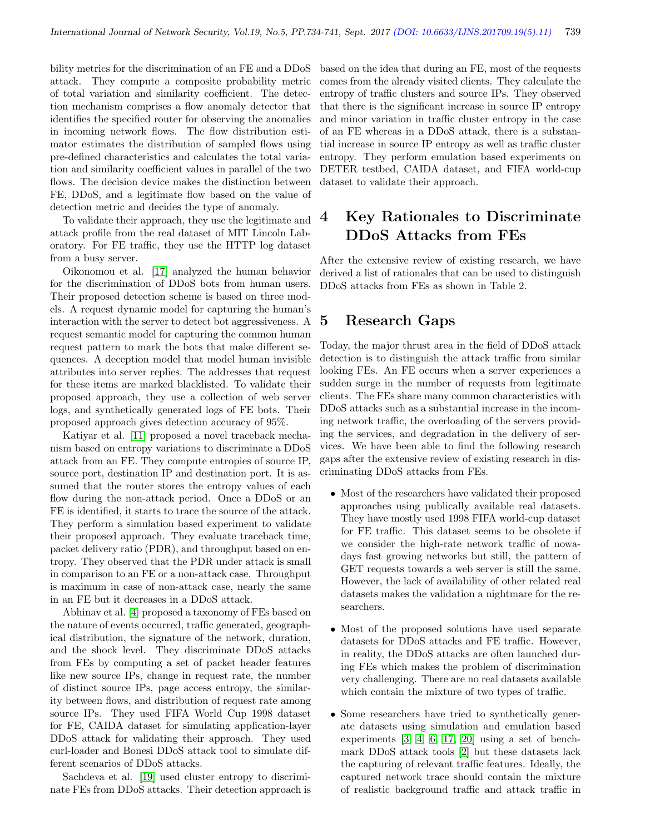bility metrics for the discrimination of an FE and a DDoS attack. They compute a composite probability metric of total variation and similarity coefficient. The detection mechanism comprises a flow anomaly detector that identifies the specified router for observing the anomalies in incoming network flows. The flow distribution estimator estimates the distribution of sampled flows using pre-defined characteristics and calculates the total variation and similarity coefficient values in parallel of the two flows. The decision device makes the distinction between FE, DDoS, and a legitimate flow based on the value of detection metric and decides the type of anomaly.

To validate their approach, they use the legitimate and attack profile from the real dataset of MIT Lincoln Laboratory. For FE traffic, they use the HTTP log dataset from a busy server.

Oikonomou et al. [\[17\]](#page-7-10) analyzed the human behavior for the discrimination of DDoS bots from human users. Their proposed detection scheme is based on three models. A request dynamic model for capturing the human's interaction with the server to detect bot aggressiveness. A request semantic model for capturing the common human request pattern to mark the bots that make different sequences. A deception model that model human invisible attributes into server replies. The addresses that request for these items are marked blacklisted. To validate their proposed approach, they use a collection of web server logs, and synthetically generated logs of FE bots. Their proposed approach gives detection accuracy of 95%.

Katiyar et al. [\[11\]](#page-6-9) proposed a novel traceback mechanism based on entropy variations to discriminate a DDoS attack from an FE. They compute entropies of source IP, source port, destination IP and destination port. It is assumed that the router stores the entropy values of each flow during the non-attack period. Once a DDoS or an FE is identified, it starts to trace the source of the attack. They perform a simulation based experiment to validate their proposed approach. They evaluate traceback time, packet delivery ratio (PDR), and throughput based on entropy. They observed that the PDR under attack is small in comparison to an FE or a non-attack case. Throughput is maximum in case of non-attack case, nearly the same in an FE but it decreases in a DDoS attack.

Abhinav et al. [\[4\]](#page-6-3) proposed a taxonomy of FEs based on the nature of events occurred, traffic generated, geographical distribution, the signature of the network, duration, and the shock level. They discriminate DDoS attacks from FEs by computing a set of packet header features like new source IPs, change in request rate, the number of distinct source IPs, page access entropy, the similarity between flows, and distribution of request rate among source IPs. They used FIFA World Cup 1998 dataset for FE, CAIDA dataset for simulating application-layer DDoS attack for validating their approach. They used curl-loader and Bonesi DDoS attack tool to simulate different scenarios of DDoS attacks.

Sachdeva et al. [\[19\]](#page-7-12) used cluster entropy to discriminate FEs from DDoS attacks. Their detection approach is based on the idea that during an FE, most of the requests comes from the already visited clients. They calculate the entropy of traffic clusters and source IPs. They observed that there is the significant increase in source IP entropy and minor variation in traffic cluster entropy in the case of an FE whereas in a DDoS attack, there is a substantial increase in source IP entropy as well as traffic cluster entropy. They perform emulation based experiments on DETER testbed, CAIDA dataset, and FIFA world-cup dataset to validate their approach.

# 4 Key Rationales to Discriminate DDoS Attacks from FEs

After the extensive review of existing research, we have derived a list of rationales that can be used to distinguish DDoS attacks from FEs as shown in Table 2.

## 5 Research Gaps

Today, the major thrust area in the field of DDoS attack detection is to distinguish the attack traffic from similar looking FEs. An FE occurs when a server experiences a sudden surge in the number of requests from legitimate clients. The FEs share many common characteristics with DDoS attacks such as a substantial increase in the incoming network traffic, the overloading of the servers providing the services, and degradation in the delivery of services. We have been able to find the following research gaps after the extensive review of existing research in discriminating DDoS attacks from FEs.

- Most of the researchers have validated their proposed approaches using publically available real datasets. They have mostly used 1998 FIFA world-cup dataset for FE traffic. This dataset seems to be obsolete if we consider the high-rate network traffic of nowadays fast growing networks but still, the pattern of GET requests towards a web server is still the same. However, the lack of availability of other related real datasets makes the validation a nightmare for the researchers.
- Most of the proposed solutions have used separate datasets for DDoS attacks and FE traffic. However, in reality, the DDoS attacks are often launched during FEs which makes the problem of discrimination very challenging. There are no real datasets available which contain the mixture of two types of traffic.
- Some researchers have tried to synthetically generate datasets using simulation and emulation based experiments [\[3,](#page-6-8) [4,](#page-6-3) [6,](#page-6-4) [17,](#page-7-10) [20\]](#page-7-13) using a set of benchmark DDoS attack tools [\[2\]](#page-6-11) but these datasets lack the capturing of relevant traffic features. Ideally, the captured network trace should contain the mixture of realistic background traffic and attack traffic in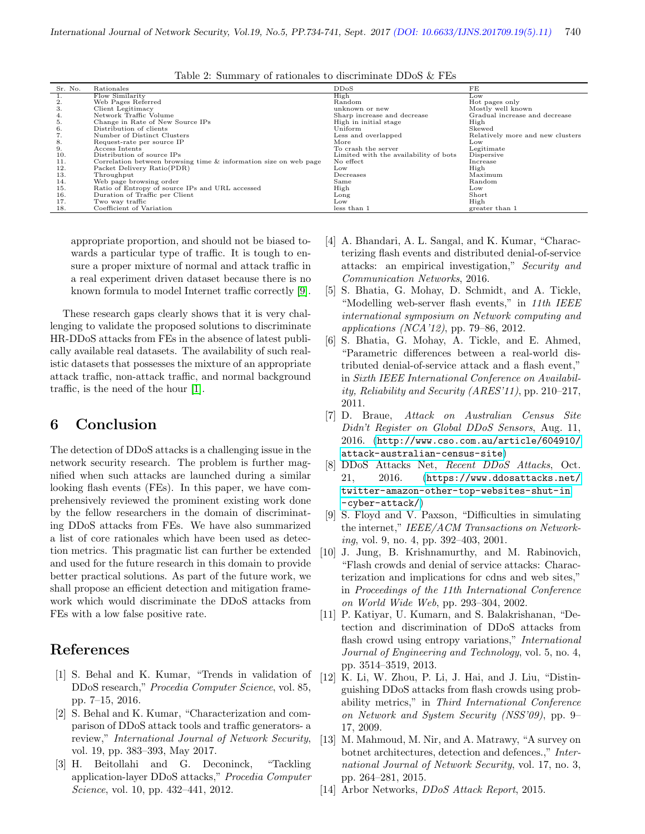| $\pm a$ <sub>DC</sub> $\pm a$ , $\pm b$ $\pm a$ $\pm a$ $\pm b$ $\pm a$ $\pm b$ $\pm b$ $\pm b$ $\pm b$ $\pm b$ $\pm b$ $\pm b$ |                                                                  |                                       |                                  |  |  |  |
|---------------------------------------------------------------------------------------------------------------------------------|------------------------------------------------------------------|---------------------------------------|----------------------------------|--|--|--|
| Sr. No.                                                                                                                         | Rationales                                                       | DDoS                                  | FE                               |  |  |  |
|                                                                                                                                 | Flow Similarity                                                  | High                                  | Low                              |  |  |  |
| 2.                                                                                                                              | Web Pages Referred                                               | Random                                | Hot pages only                   |  |  |  |
| 3.                                                                                                                              | Client Legitimacy                                                | unknown or new                        | Mostly well known                |  |  |  |
| 4.                                                                                                                              | Network Traffic Volume                                           | Sharp increase and decrease           | Gradual increase and decrease    |  |  |  |
| 5.                                                                                                                              | Change in Rate of New Source IPs                                 | High in initial stage                 | High                             |  |  |  |
| 6.                                                                                                                              | Distribution of clients                                          | Uniform                               | Skewed                           |  |  |  |
| 7.                                                                                                                              | Number of Distinct Clusters                                      | Less and overlapped                   | Relatively more and new clusters |  |  |  |
| 8.                                                                                                                              | Request-rate per source IP                                       | More                                  | Low                              |  |  |  |
| 9.                                                                                                                              | Access Intents                                                   | To crash the server                   | Legitimate                       |  |  |  |
| 10.                                                                                                                             | Distribution of source IPs                                       | Limited with the availability of bots | Dispersive                       |  |  |  |
| 11.                                                                                                                             | Correlation between browsing time & information size on web page | No effect                             | Increase                         |  |  |  |
| 12.                                                                                                                             | Packet Delivery Ratio(PDR)                                       | Low                                   | High                             |  |  |  |
| 13.                                                                                                                             | Throughput                                                       | Decreases                             | Maximum                          |  |  |  |
| 14.                                                                                                                             | Web page browsing order                                          | Same                                  | Random                           |  |  |  |
| 15.                                                                                                                             | Ratio of Entropy of source IPs and URL accessed                  | High                                  | Low                              |  |  |  |
| 16.                                                                                                                             | Duration of Traffic per Client                                   | Long                                  | Short                            |  |  |  |
| 17.                                                                                                                             | Two way traffic                                                  | Low                                   | High                             |  |  |  |
| 18.                                                                                                                             | Coefficient of Variation                                         | less than 1                           | greater than 1                   |  |  |  |
|                                                                                                                                 |                                                                  |                                       |                                  |  |  |  |

Table 2: Summary of rationales to discriminate DDoS  $\&$  FFs

appropriate proportion, and should not be biased towards a particular type of traffic. It is tough to ensure a proper mixture of normal and attack traffic in a real experiment driven dataset because there is no known formula to model Internet traffic correctly [\[9\]](#page-6-12).

These research gaps clearly shows that it is very challenging to validate the proposed solutions to discriminate HR-DDoS attacks from FEs in the absence of latest publically available real datasets. The availability of such realistic datasets that possesses the mixture of an appropriate attack traffic, non-attack traffic, and normal background traffic, is the need of the hour [\[1\]](#page-6-13).

## 6 Conclusion

The detection of DDoS attacks is a challenging issue in the network security research. The problem is further magnified when such attacks are launched during a similar looking flash events (FEs). In this paper, we have comprehensively reviewed the prominent existing work done by the fellow researchers in the domain of discriminating DDoS attacks from FEs. We have also summarized a list of core rationales which have been used as detection metrics. This pragmatic list can further be extended and used for the future research in this domain to provide better practical solutions. As part of the future work, we shall propose an efficient detection and mitigation framework which would discriminate the DDoS attacks from FEs with a low false positive rate.

#### References

- <span id="page-6-13"></span>[1] S. Behal and K. Kumar, "Trends in validation of DDoS research," Procedia Computer Science, vol. 85, pp. 7–15, 2016.
- <span id="page-6-11"></span>[2] S. Behal and K. Kumar, "Characterization and comparison of DDoS attack tools and traffic generators- a review," International Journal of Network Security, vol. 19, pp. 383–393, May 2017.
- <span id="page-6-8"></span>[3] H. Beitollahi and G. Deconinck, "Tackling application-layer DDoS attacks," Procedia Computer Science, vol. 10, pp. 432–441, 2012.
- <span id="page-6-3"></span>[4] A. Bhandari, A. L. Sangal, and K. Kumar, "Characterizing flash events and distributed denial-of-service attacks: an empirical investigation," Security and Communication Networks, 2016.
- <span id="page-6-7"></span>[5] S. Bhatia, G. Mohay, D. Schmidt, and A. Tickle, "Modelling web-server flash events," in 11th IEEE international symposium on Network computing and applications (NCA'12), pp. 79–86, 2012.
- <span id="page-6-4"></span>[6] S. Bhatia, G. Mohay, A. Tickle, and E. Ahmed, "Parametric differences between a real-world distributed denial-of-service attack and a flash event," in Sixth IEEE International Conference on Availability, Reliability and Security (ARES'11), pp. 210–217, 2011.
- <span id="page-6-5"></span>[7] D. Braue, Attack on Australian Census Site Didn't Register on Global DDoS Sensors, Aug. 11, 2016. ([http://www.cso.com.au/article/604910/](http://www.cso.com.au/article/604910/attack-australian-census-site) [attack-australian-census-site](http://www.cso.com.au/article/604910/attack-australian-census-site))
- <span id="page-6-1"></span>[8] DDoS Attacks Net, Recent DDoS Attacks, Oct. 21, 2016. ([https://www.ddosattacks.net/](https://www.ddosattacks.net/twitter-amazon-other-top-websites-shut-in) [twitter-amazon-other-top-websites-shut-in](https://www.ddosattacks.net/twitter-amazon-other-top-websites-shut-in) <-cyber-attack/>)
- <span id="page-6-12"></span>[9] S. Floyd and V. Paxson, "Difficulties in simulating the internet," IEEE/ACM Transactions on Networking, vol. 9, no. 4, pp. 392–403, 2001.
- <span id="page-6-6"></span>[10] J. Jung, B. Krishnamurthy, and M. Rabinovich, "Flash crowds and denial of service attacks: Characterization and implications for cdns and web sites," in Proceedings of the 11th International Conference on World Wide Web, pp. 293–304, 2002.
- <span id="page-6-9"></span>[11] P. Katiyar, U. Kumarn, and S. Balakrishanan, "Detection and discrimination of DDoS attacks from flash crowd using entropy variations," *International* Journal of Engineering and Technology, vol. 5, no. 4, pp. 3514–3519, 2013.
- <span id="page-6-10"></span>[12] K. Li, W. Zhou, P. Li, J. Hai, and J. Liu, "Distinguishing DDoS attacks from flash crowds using probability metrics," in Third International Conference on Network and System Security (NSS'09), pp. 9– 17, 2009.
- <span id="page-6-0"></span>[13] M. Mahmoud, M. Nir, and A. Matrawy, "A survey on botnet architectures, detection and defences.," International Journal of Network Security, vol. 17, no. 3, pp. 264–281, 2015.
- <span id="page-6-2"></span>[14] Arbor Networks, DDoS Attack Report, 2015.